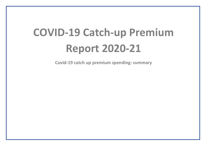# **COVID-19 Catch-up Premium Report 2020-21**

**Covid-19 catch up premium spending: summary**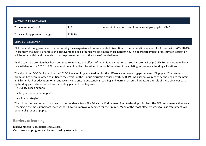| SUMMARY INFORMATION            |        |                                                |      |  |  |
|--------------------------------|--------|------------------------------------------------|------|--|--|
| Total number of pupils:        | 118    | Amount of catch-up premium received per pupil: | £240 |  |  |
| Total catch-up premium budget: | £28320 |                                                |      |  |  |

#### STRATEGY STATEMENT

Children and young people across the country have experienced unprecedented disruption to their education as a result of coronavirus (COVID-19). Those from the most vulnerable and disadvantaged backgrounds will be among those hardest hit. The aggregate impact of lost time in education will be substantial, and the scale of our response must match the scale of the challenge.

As the catch-up premium has been designed to mitigate the effects of the unique disruption caused by coronavirus (COVID-19), the grant will only be available for the 2020 to 2021 academic year. It will not be added to schools' baselines in calculating future years' funding allocations.

The aim of our COVID-19 spend in the 2020-21 academic year is to diminish the difference in progress gaps between 'All pupils'. The catch-up premium has been designed to mitigate the effects of the unique disruption caused by (COVID-19). As a school we recognise the need to maintain a high standard of education for all and we strive to ensure outstanding teaching and learning across all areas. As a result of these aims our catch up funding plan is based on a tiered spending plan in three key areas:

- Quality Teaching for all
- Targeted academic support
- Wider strategies

The school has used research and supporting evidence from The Education Endowment Fund to develop this plan. The EEF recommends that great teaching is the most important lever schools have to improve outcomes for their pupils. Many of the most effective ways to raise attainment will benefit all groups of pupils.

### **Barriers to learning**

Disadvantaged Pupils Barriers to Success Outcomes and progress can be impacted by several factors: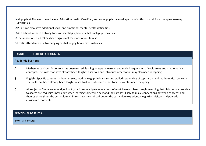- All pupils at Pioneer House have an Education Health Care Plan, and some pupils have a diagnosis of autism or additional complex learning difficulties.
- Pupils can also have additional social and emotional mental health difficulties.
- As a school we have a strong focus on identifying barriers that each pupil may face.
- > The impact of Covid-19 has been significant for many of our families
- Erratic attendance due to changing or challenging home circumstances

|   | <b>BARRIERS TO FUTURE ATTAINMENT</b>                                                                                                                                                                                                                                                                                                                                                                                                   |
|---|----------------------------------------------------------------------------------------------------------------------------------------------------------------------------------------------------------------------------------------------------------------------------------------------------------------------------------------------------------------------------------------------------------------------------------------|
|   | <b>Academic barriers:</b>                                                                                                                                                                                                                                                                                                                                                                                                              |
| A | Mathematics - Specific content has been missed, leading to gaps in learning and stalled sequencing of topic areas and mathematical<br>concepts. The skills that have already been taught to scaffold and introduce other topics may also need recapping                                                                                                                                                                                |
| в | English - Specific content has been missed, leading to gaps in learning and stalled sequencing of topic areas and mathematical concepts.<br>The skills that have already been taught to scaffold and introduce other topics may also need recapping.                                                                                                                                                                                   |
|   | All subjects - There are now significant gaps in knowledge – whole units of work have not been taught meaning that children are less able<br>to access pre-requisite knowledge when learning something new and they are less likely to make connections between concepts and<br>themes throughout the curriculum. Children have also missed out on the curriculum experiences e.g. trips, visitors and powerful<br>curriculum moments. |

#### ADDITIONAL BARRIERS

External barriers: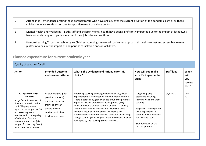| D | Attendance – attendance around those parents/carers who have anxiety over the current situation of the pandemic as well as those<br>children who are self-isolating due to a positive result or a close contact. |
|---|------------------------------------------------------------------------------------------------------------------------------------------------------------------------------------------------------------------|
|   | Mental Health and Wellbeing – Both staff and children mental health have been significantly impacted due to the impact of lockdowns,<br>isolation and changes to guidance around their job roles and routines.   |
|   | Remote Learning/Access to technology – Children accessing a mirrored curriculum approach through a robust and accessible learning<br>platform to ensure the impact of and periods of isolation and/or lockdown.  |

## **Planned expenditure for current academic year**

| Quality of teaching for all                                                                                                                                                                                                                                                                                                             |                                                                                                                                                             |                                                                                                                                                                                                                                                                                                                                                                                                                                                                                                                                                                                        |                                                                                                                                                                                                                              |                   |                                        |
|-----------------------------------------------------------------------------------------------------------------------------------------------------------------------------------------------------------------------------------------------------------------------------------------------------------------------------------------|-------------------------------------------------------------------------------------------------------------------------------------------------------------|----------------------------------------------------------------------------------------------------------------------------------------------------------------------------------------------------------------------------------------------------------------------------------------------------------------------------------------------------------------------------------------------------------------------------------------------------------------------------------------------------------------------------------------------------------------------------------------|------------------------------------------------------------------------------------------------------------------------------------------------------------------------------------------------------------------------------|-------------------|----------------------------------------|
| <b>Action</b>                                                                                                                                                                                                                                                                                                                           | Intended outcome<br>and success criteria                                                                                                                    | What's the evidence and rationale for this<br>choice?                                                                                                                                                                                                                                                                                                                                                                                                                                                                                                                                  | How will you make<br>sure it's implemented<br>well?                                                                                                                                                                          | <b>Staff lead</b> | When<br>will<br>you<br>review<br>this? |
| <b>QUALITY FIRST</b><br>1.<br><b>TEACHING</b><br>A significant investment of<br>time and money in to the<br>staff CPD programme.<br>Rigorous but supportive QA<br>processes in place to<br>monitor and assure quality<br>of education. Targeted<br>intervention sessions (Via<br>Support for Learning Team)<br>for students who require | All students (Inc. pupil<br>premium students)<br>can meet or exceed<br>their end of year<br>targets as they<br>receive quality first<br>teaching every day. | 'Improving teaching quality generally leads to greater<br>improvements' EEF (Education Endowment Foundation).<br>'There is particularly good evidence around the potential<br>impact of teacher professional development' (EEF).<br>'Whilst it is true that each school is unique, it is equally<br>true that outstanding teaching and leadership and a<br>relentless focus on improvement will make a real<br>difference – whatever the context, or degree of challenge<br>facing a school'. (Effective pupil premium reviews. A guide<br>developed by the Teaching Schools Council). | Ongoing quality<br>assurance including<br>learning walks and work<br>scrutiny.<br>Targeted CPD on QFT and<br>wave approaches in<br>conjunction with Support<br>for Learning Team.<br>Staff feedback on the<br>CPD programme. | CP/MW/KD          | July<br>2021                           |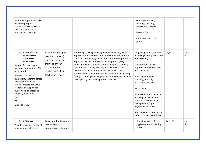| additional support to make<br>expected progress.<br>Collaborative MAT work to<br>share best practice for<br>teaching and learning                                                                                                                                                                                                                                                                              |                                                                                                                                                             |                                                                                                                                                                                                                                                                                                                                                                                                                                                                                                                                                                                        | Peer development;<br>planning, teaching,<br>assessment, reviews<br>External QA<br>Work with MAT T&L<br>group                                                                                                                                                                                                                                                                                                                           |       |              |
|----------------------------------------------------------------------------------------------------------------------------------------------------------------------------------------------------------------------------------------------------------------------------------------------------------------------------------------------------------------------------------------------------------------|-------------------------------------------------------------------------------------------------------------------------------------------------------------|----------------------------------------------------------------------------------------------------------------------------------------------------------------------------------------------------------------------------------------------------------------------------------------------------------------------------------------------------------------------------------------------------------------------------------------------------------------------------------------------------------------------------------------------------------------------------------------|----------------------------------------------------------------------------------------------------------------------------------------------------------------------------------------------------------------------------------------------------------------------------------------------------------------------------------------------------------------------------------------------------------------------------------------|-------|--------------|
| 2. SUPPORT FOR<br><b>LEARNING -</b><br><b>TEACHING &amp;</b><br><b>LEARNING</b><br>Support for Learning and<br>waves of intervention offer<br>established<br>to ensure consistent<br>high quality teaching across<br>all classes with a clear<br>referral process and wave<br>response of support for<br>pupils needing additional<br>support, to include:<br><b>SALT</b><br><b>OT</b><br><b>Music Therapy</b> | All students (Inc. pupil<br>premium students)<br>can meet or exceed<br>their end of year<br>targets as they<br>receive quality first<br>teaching every day. | 'Improving teaching quality generally leads to greater<br>improvements' EEF (Education Endowment Foundation).<br>'There is particularly good evidence around the potential<br>impact of teacher professional development' (EEF).<br>'Whilst it is true that each school is unique, it is equally<br>true that outstanding teaching and leadership and a<br>relentless focus on improvement will make a real<br>difference - whatever the context, or degree of challenge<br>facing a school'. (Effective pupil premium reviews. A guide<br>developed by the Teaching Schools Council). | Ongoing quality assurance<br>including learning walks and<br>work scrutiny.<br>Targeted CPD on wave<br>approaches in conjunction<br>with T&L team<br>Peer development;<br>planning, teaching,<br>assessment, reviews<br>External QA<br>Establishes action plans for<br>learning and SEMH, leads in<br>place and performance<br>management targets<br>aligned to outcomes<br>SALT and OT timetables and<br>referral process established | CP/KD | July<br>2021 |
| 3. READING<br>Provide engaging, free to all<br>reading material via the                                                                                                                                                                                                                                                                                                                                        | To ensure that PP student<br>reading ages<br>do not regress at a rapid                                                                                      |                                                                                                                                                                                                                                                                                                                                                                                                                                                                                                                                                                                        | Transformation of<br>hygiene room to reading<br>space                                                                                                                                                                                                                                                                                                                                                                                  | AC/MW | July<br>2021 |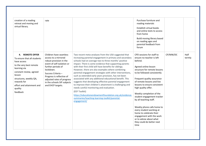| creation of a reading<br>retreat and moving and<br>virtual library.                                                                                                                                                                        | rate                                                                                                                                                                                                                                                                            |                                                                                                                                                                                                                                                                                                                                                                                                                                                                                                                                                                                                                                                                                                                                                                                                                                               | Purchase furniture and<br>reading materials<br>Establish virtual books<br>and online texts to access<br>from home<br>Build moving library based<br>on reading ages and<br>parental feedback from<br>forum                                                                                                                                                                                                                                                                                                                                        |          |                |
|--------------------------------------------------------------------------------------------------------------------------------------------------------------------------------------------------------------------------------------------|---------------------------------------------------------------------------------------------------------------------------------------------------------------------------------------------------------------------------------------------------------------------------------|-----------------------------------------------------------------------------------------------------------------------------------------------------------------------------------------------------------------------------------------------------------------------------------------------------------------------------------------------------------------------------------------------------------------------------------------------------------------------------------------------------------------------------------------------------------------------------------------------------------------------------------------------------------------------------------------------------------------------------------------------------------------------------------------------------------------------------------------------|--------------------------------------------------------------------------------------------------------------------------------------------------------------------------------------------------------------------------------------------------------------------------------------------------------------------------------------------------------------------------------------------------------------------------------------------------------------------------------------------------------------------------------------------------|----------|----------------|
| 4. REMOTE OFFER<br>To ensure that all students<br>have access<br>to the very best remote<br>learning via<br>constant review, agreed<br>lesson<br>structures, weekly QA,<br>rewards for<br>effort and attainment and<br>quality<br>feedback | Children have seamless<br>access to a mirrored<br>robust provision in the<br>event of self-isolation or<br>further periods of<br>lockdown.<br>Success Criteria -<br>Progress is reflective of<br>adjusted rates of progress<br>in the schools SIP subjects<br>and EHCP targets. | Two recent meta-analyses from the USA suggested that<br>increasing parental engagement in primary and secondary<br>schools had on average two to three months' positive<br>impact. There is some evidence that supporting parents<br>with their first child will have benefits for siblings.<br>However, there are also examples where combining<br>parental engagement strategies with other interventions,<br>such as extended early years provision, has not been<br>associated with any additional educational benefit. This<br>suggests that developing effective parental engagement<br>to improve their children's attainment is challenging and<br>needs careful monitoring and evaluation.<br>(EEF Toolkit)<br>https://educationendowmentfoundation.org.uk/evidence-<br>summaries/teaching-learning-toolkit/parental-<br>engagement/ | CPD sessions for staff to<br>ensure no teacher is left<br>behind.<br>Agreed online lesson<br>structure for remote lessons<br>to be followed consistently<br>Frequent quality assurance<br>of remote lessons and live<br>lessons to ensure consistent<br>high quality offer.<br>Weekly completion of the<br>student engagement tracker<br>by all teaching staff.<br>Weekly phone calls home to<br>every student working at<br>home to celebrate their<br>engagement with the work<br>or to advise about what<br>they could do better next<br>time | CP/MW/DC | Half<br>termly |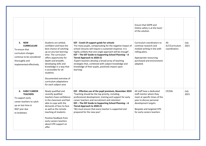| 5. NEW<br><b>CURRICULUM</b><br>To ensure that<br>curriculum changes<br>continue to be considered<br>thoroughly and<br>implemented effectively. | Students are settled,<br>confident and have the<br>best chance of catching<br>up on any lost learning<br>time. The curriculum<br>offers opportunity for<br>depth and breadth,<br>developing skills and<br>knowledge in a way that<br>is accessible for all<br>students.<br>Documented overview of<br>curriculum adaptations<br>for each subject area | EEF - Covid-19 support guide for schools<br>'For many pupils, compensating for the negative impact of<br>school closures will require a sustained response. It is<br>highly unlikely that one single approach will be enough'.<br>EEF - The EEF Guide to Supporting School Planning - A<br><b>Tiered Approach to 2020-21</b><br>'Expert teachers develop a broad array of teaching<br>strategies that, combined with subject knowledge and<br>knowledge of their pupils, positively impact upon<br>learning'. | Ensure that GDPR and<br>Online safety is at the heart<br>of the solution<br>Curriculum coordinators to<br>continue research and<br>module writing in line with<br>rolling plans.<br>Appropriate resourcing<br>purchased and environment<br>adapted. | All<br>SLT/Curriculum<br>coordinators | July<br>2021 |
|------------------------------------------------------------------------------------------------------------------------------------------------|------------------------------------------------------------------------------------------------------------------------------------------------------------------------------------------------------------------------------------------------------------------------------------------------------------------------------------------------------|---------------------------------------------------------------------------------------------------------------------------------------------------------------------------------------------------------------------------------------------------------------------------------------------------------------------------------------------------------------------------------------------------------------------------------------------------------------------------------------------------------------|-----------------------------------------------------------------------------------------------------------------------------------------------------------------------------------------------------------------------------------------------------|---------------------------------------|--------------|
| 6. EARLY CAREER<br><b>TEACHERS</b><br>To support early<br>career teachers to catch<br>up on lost time in<br>NQT year due<br>to lockdown.       | Newly qualified and<br>recently qualified<br>teachers have confidence<br>in the classroom and feel<br>able to cope with the<br>demands of face-to-face<br>as well as the remote<br>teaching of students.<br>Positive feedback from<br>early careers teachers<br>about CPD support on<br>offer                                                        | EEF - Effective use of the pupil premium, November 2019<br>'Teaching should be the top priority, including<br>professional development, training and support for early<br>career teachers and recruitment and retention'.<br>EEF - The EEF Guide to Supporting School Planning - A<br><b>Tiered Approach to 2020-21</b><br>'We must ensure that every teacher is supported and<br>prepared for the new year'.                                                                                                 | All staff have a dedicated<br>staff mentor whom they<br>meet at specific times of the<br>year to discuss personal<br>development targets.<br>Bespoke and targeted CPD<br>for early careers teachers                                                 | CP/DAi                                | July<br>2021 |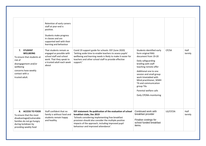| 7. STUDENT<br><b>WELLBEING</b><br>To ensure that students at<br>risk of<br>disengagement and/or<br>wellbeing<br>concerns have weekly<br>contact with a<br>trusted adult. | Retention of early careers<br>staff at year-end is<br>positive.<br>Students make progress<br>in classes and are<br>supported well with their<br>learning and behaviour<br>That students remain as<br>engaged as possible with<br>school staff and school<br>work. That they speak to<br>a trusted adult each week<br>about | Covid 19 support guide for schools: EEF (June 2020)<br>'Setting aside time to enable teachers to assess pupils'<br>wellbeing and learning needs is likely to make it easier for<br>teachers and other school staff to provide effective<br>support.'                                           | Students identified early<br>form original RAG<br>document from 19-20<br>Daily safeguarding<br>briefing with staff<br>teaching remote offer<br>Additional one to one<br>session and small group<br>work timetabled with<br>Mind practitioner, SEMH<br>TA and communication<br>group TAs<br>Parental welfare calls<br>Daily CPOMs monitoring | CP/SA    | Half<br>termly |
|--------------------------------------------------------------------------------------------------------------------------------------------------------------------------|----------------------------------------------------------------------------------------------------------------------------------------------------------------------------------------------------------------------------------------------------------------------------------------------------------------------------|------------------------------------------------------------------------------------------------------------------------------------------------------------------------------------------------------------------------------------------------------------------------------------------------|---------------------------------------------------------------------------------------------------------------------------------------------------------------------------------------------------------------------------------------------------------------------------------------------------------------------------------------------|----------|----------------|
| 8. ACCESS TO FOOD<br>To ensure that the most<br>disadvantaged/vulnerable<br>families do not go hungry<br>during lockdown by<br>providing weekly food                     | Staff confident that no<br>family is without food and<br>students remain happy<br>and healthy.                                                                                                                                                                                                                             | EEF statement: Re-publication of the evaluation of school<br>breakfast clubs, Dec 2019<br>'Schools considering implementing free breakfast<br>provision should also consider the multiple positive<br>impacts of the approach, including improved pupil<br>behaviour and improved attendance'. | Continued work with<br>breakfast provider<br>Finalise costings for<br>school funded breakfast<br>items.                                                                                                                                                                                                                                     | LG/CP/SA | Half<br>termly |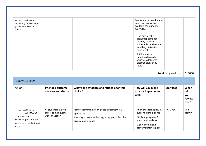| parcels, breakfast and<br>supporting families with<br>government voucher<br>scheme.                                  |                                                                    |                                                                                                                                                      | Ensure that a healthy and<br>free breakfast option is<br>available for students<br>every day.<br>Use any surplus<br>breakfast items for<br>delivery to most<br>vulnerable families via<br>food bag deliveries<br>each week.<br><b>FSM</b> students<br>monitored weekly,<br>vouchers delivered<br>electronically or by<br>hand |                      |                                        |
|----------------------------------------------------------------------------------------------------------------------|--------------------------------------------------------------------|------------------------------------------------------------------------------------------------------------------------------------------------------|-------------------------------------------------------------------------------------------------------------------------------------------------------------------------------------------------------------------------------------------------------------------------------------------------------------------------------|----------------------|----------------------------------------|
|                                                                                                                      |                                                                    |                                                                                                                                                      |                                                                                                                                                                                                                                                                                                                               | Total budgeted cost: | £15000                                 |
| Targeted support                                                                                                     |                                                                    |                                                                                                                                                      |                                                                                                                                                                                                                                                                                                                               |                      |                                        |
| <b>Action</b>                                                                                                        | Intended outcome<br>and success criteria                           | What's the evidence and rationale for this<br>choice?                                                                                                | How will you make<br>sure it's implemented<br>well?                                                                                                                                                                                                                                                                           | <b>Staff lead</b>    | When<br>will<br>you<br>review<br>this? |
| 9. ACCESS TO<br><b>TECHNOLOGY</b><br>To ensure that<br>disadvantaged students<br>have access to a laptop at<br>home. | All students have full<br>access to high quality<br>work on SeeSaw | Remote learning: rapid evidence assessment (EEF,<br>April 2020)<br>'Ensuring access to technology is key, particularly for<br>Disadvantaged pupils'. | Audit of all technology in<br>every household on file<br>DFE laptops applied for<br>when more available<br>Sign in and out and<br>delivery system in place                                                                                                                                                                    | AC/CP/SA             | Half<br>Termly                         |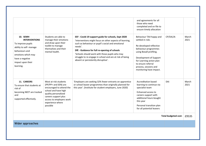| Wider approaches                                                                                                                                                              |                                                                                                                                                                                                               |                                                                                                                                                                                                                                                                                                                                                                                       |                                                                                                                                                                                                                                                                                                                                     |                                    | £9535         |
|-------------------------------------------------------------------------------------------------------------------------------------------------------------------------------|---------------------------------------------------------------------------------------------------------------------------------------------------------------------------------------------------------------|---------------------------------------------------------------------------------------------------------------------------------------------------------------------------------------------------------------------------------------------------------------------------------------------------------------------------------------------------------------------------------------|-------------------------------------------------------------------------------------------------------------------------------------------------------------------------------------------------------------------------------------------------------------------------------------------------------------------------------------|------------------------------------|---------------|
| 11. CAREERS<br>To ensure that students at<br>risk of<br>becoming NEET are tracked<br>and<br>supported effectively.                                                            | Most at risk students<br>(PP/PP+ and SEN) are<br>encouraged to attend the<br>school and have high<br>quality personalized<br>careers support plus<br>access to employers work<br>experience where<br>possible | 'Employers are seeking 32% fewer entrants on apprentice<br>or school leaver programmes than originally planned for<br>this year'. (Institute for student employers, June 2020)                                                                                                                                                                                                        | Accreditation based<br>learning to continue via<br>specialist team<br>Enhanced access to<br>careers support with<br>additional hours bought<br>this year<br>Personal transition plan<br>for all potential leavers                                                                                                                   | DAi<br><b>Total budgeted cost:</b> | March<br>2021 |
| 10. SEMH<br><b>INTERVENTIONS</b><br>To improve pupils<br>ability to self- manage<br>behaviours and<br>emotions which may<br>have a negative<br>impact upon their<br>learning. | Students are able to<br>manage their emotions<br>and draw upon their<br>toolkit to manage<br>themselves and their<br>mental health.                                                                           | EEF - Covid-19 support guide for schools, Sept 2020<br>'Interventions might focus on other aspects of learning,<br>such as behaviour or pupil's social and emotional<br>needs'.<br>DfE - Guidance for full re-opening of schools<br>'Schools should work with those pupils who may<br>struggle to re-engage in school and are at risk of being<br>absent or persistently disruptive'. | those who need<br>completed and on file to<br>ensure timely allocation<br>Behaviour TA4 happy and<br>settled in role.<br>Re-developed reflective<br>behaviour programmes<br>using Boxall profiling.<br>Development of Support<br>for Learning action plan<br>to ensure referral<br>process, sessions and<br>monitoring have impact. | CP/DA/JA                           | March<br>2021 |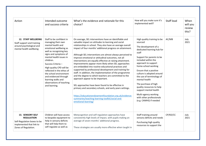| Action                                                                                                                   | Intended outcome<br>and success criteria                                                                                                                                                                                                                                                                                                                                                       | What's the evidence and rationale for this<br>choice?                                                                                                                                                                                                                                                                                                                                                                                                                                                                                                                                                                                                                                                                                                                                                                                                                                                                                                                                                         | How will you make sure it's<br>implemented well?                                                                                                                                                                                                                                                                                                                                                                                                                         | Staff lead | When<br>will you<br>review<br>this? |
|--------------------------------------------------------------------------------------------------------------------------|------------------------------------------------------------------------------------------------------------------------------------------------------------------------------------------------------------------------------------------------------------------------------------------------------------------------------------------------------------------------------------------------|---------------------------------------------------------------------------------------------------------------------------------------------------------------------------------------------------------------------------------------------------------------------------------------------------------------------------------------------------------------------------------------------------------------------------------------------------------------------------------------------------------------------------------------------------------------------------------------------------------------------------------------------------------------------------------------------------------------------------------------------------------------------------------------------------------------------------------------------------------------------------------------------------------------------------------------------------------------------------------------------------------------|--------------------------------------------------------------------------------------------------------------------------------------------------------------------------------------------------------------------------------------------------------------------------------------------------------------------------------------------------------------------------------------------------------------------------------------------------------------------------|------------|-------------------------------------|
| 12. STAFF WELLBEING<br>Staff support and training<br>around psychological and<br>mental health wellbeing                 | Staff to be confident in<br>managing their own<br>mental health and<br>emotional wellbeing as<br>well as recognizing key<br>signs and symptoms of<br>mental health issues in<br>children.<br>Success Criteria -<br>High quality CPD will be<br>reflected in the ethos of<br>the school environment<br>and evidenced through<br>learning walks and<br>observations of teaching<br>and learning. | On average, SEL interventions have an identifiable and<br>valuable impact on attitudes to learning and social<br>relationships in school. They also have an average overall<br>impact of four months' additional progress on attainment.<br>Although SEL interventions are almost always perceived to<br>improve emotional or attitudinal outcomes, not all<br>interventions are equally effective at raising attainment.<br>Improvements appear more likely when SEL approaches<br>are embedded into routine educational practices and<br>supported by professional development and training for<br>staff. In addition, the implementation of the programme<br>and the degree to which teachers are committed to the<br>approach appear to be important.<br>SEL approaches have been found to be effective in<br>primary and secondary schools, and early years settings.<br>https://educationendowmentfoundation.org.uk/evidence-<br>summaries/teaching-learning-toolkit/social-and-<br>emotional-learning/ | High quality training to be<br>sourced<br>The development of a<br>dedicated learning hub for<br>staff<br>Support for parents to be<br>included within the<br>approach to support<br>home-school working<br>Ensure that a positive<br>culture is adopted around<br>the use of terminology of<br>mental health<br>The purchase of high<br>quality resources to help<br>support mental health<br>Multi-agency working<br>with other professionals<br>(e.g. CAMHS) if needed | AC/MB      | July<br>2021                        |
| 13. SENSORY SELF<br><b>REGULATION</b><br>Self-Regulation boxes to be<br>implemented that link to<br>Zones of Regulation. | Children will have access<br>to bespoke equipment to<br>help in sensory deficits<br>that will help them to<br>self-regulate as well as                                                                                                                                                                                                                                                         | Metacognition and self-regulation approaches have<br>consistently high levels of impact, with pupils making an<br>average of seven months' additional progress.<br>These strategies are usually more effective when taught in                                                                                                                                                                                                                                                                                                                                                                                                                                                                                                                                                                                                                                                                                                                                                                                 | Staff training around<br>sensory deficits and needs<br>Purchasing high quality<br>resources to support the                                                                                                                                                                                                                                                                                                                                                               | CP/KD/CC   | July<br>2021                        |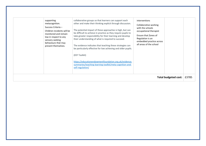| Children incidents will be<br>monitored and remain<br>low in respect to any<br>sensory seeking<br>behaviours that may<br>present themselves. | be difficult to achieve in practice as they require pupils to<br>take greater responsibility for their learning and develop<br>their understanding of what is required to succeed.<br>The evidence indicates that teaching these strategies can<br>be particularly effective for low achieving and older pupils.<br>(EEF Toolkit)<br>https://educationendowmentfoundation.org.uk/evidence-<br>summaries/teaching-learning-toolkit/meta-cognition-and-<br>self-regulation/ | occupational therapist<br>Ensure that Zones of<br>Regulation is an<br>embedded practice across<br>all areas of the school | <b>Total budgeted cost:</b> | £3785 |
|----------------------------------------------------------------------------------------------------------------------------------------------|---------------------------------------------------------------------------------------------------------------------------------------------------------------------------------------------------------------------------------------------------------------------------------------------------------------------------------------------------------------------------------------------------------------------------------------------------------------------------|---------------------------------------------------------------------------------------------------------------------------|-----------------------------|-------|
| supporting<br>metacognition.<br>Success Criteria -                                                                                           | collaborative groups so that learners can support each<br>other and make their thinking explicit through discussion.<br>The potential impact of these approaches is high, but can                                                                                                                                                                                                                                                                                         | interventions<br>Collaborative working<br>with the schools                                                                |                             |       |